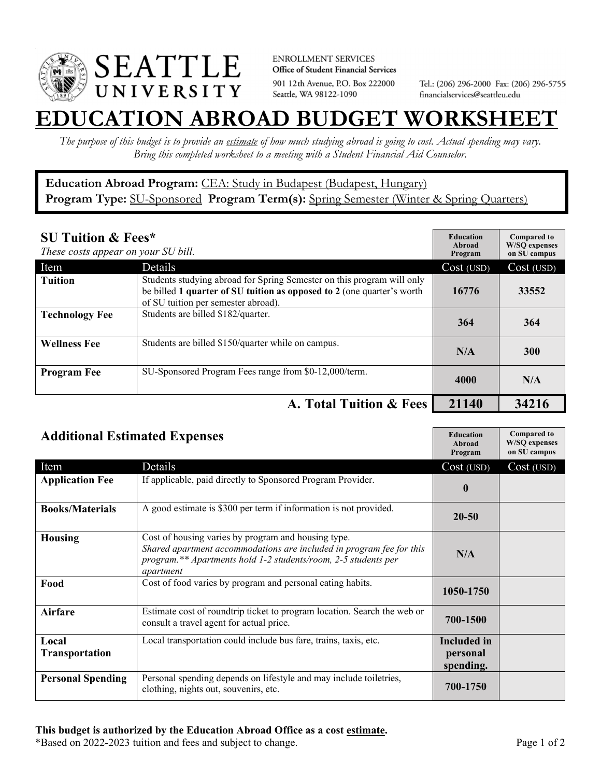

**ENROLLMENT SERVICES** Office of Student Financial Services 901 12th Avenue, P.O. Box 222000 Seattle, WA 98122-1090

Tel.: (206) 296-2000 Fax: (206) 296-5755 financialservices@seattleu.edu

## **EATION ABROAD BUDGET WORKSHEE**

*The purpose of this budget is to provide an estimate of how much studying abroad is going to cost. Actual spending may vary. Bring this completed worksheet to a meeting with a Student Financial Aid Counselor.* 

## **Education Abroad Program:** CEA: Study in Budapest (Budapest, Hungary) Program Type: **SU-Sponsored** Program Term(s): **Spring Semester** (Winter & Spring Quarters)

| <b>SU Tuition &amp; Fees*</b><br>These costs appear on your SU bill. |                                                                                                                                                                                         | <b>Education</b><br>Abroad<br>Program | <b>Compared to</b><br><b>W/SO</b> expenses<br>on SU campus |
|----------------------------------------------------------------------|-----------------------------------------------------------------------------------------------------------------------------------------------------------------------------------------|---------------------------------------|------------------------------------------------------------|
| Item                                                                 | Details                                                                                                                                                                                 | Cost (USD)                            | Cost (USD)                                                 |
| <b>Tuition</b>                                                       | Students studying abroad for Spring Semester on this program will only<br>be billed 1 quarter of SU tuition as opposed to 2 (one quarter's worth<br>of SU tuition per semester abroad). | 16776                                 | 33552                                                      |
| <b>Technology Fee</b>                                                | Students are billed \$182/quarter.                                                                                                                                                      | 364                                   | 364                                                        |
| <b>Wellness Fee</b>                                                  | Students are billed \$150/quarter while on campus.                                                                                                                                      | N/A                                   | <b>300</b>                                                 |
| <b>Program Fee</b>                                                   | SU-Sponsored Program Fees range from \$0-12,000/term.                                                                                                                                   | 4000                                  | N/A                                                        |
|                                                                      | A. Total Tuition & Fees                                                                                                                                                                 | 21140                                 | 34216                                                      |

| <b>Additional Estimated Expenses</b> |                                                                                                                                                                                                            | <b>Education</b><br>Abroad<br>Program       | <b>Compared to</b><br><b>W/SQ</b> expenses<br>on SU campus |
|--------------------------------------|------------------------------------------------------------------------------------------------------------------------------------------------------------------------------------------------------------|---------------------------------------------|------------------------------------------------------------|
| Item                                 | Details                                                                                                                                                                                                    | Cost (USD)                                  | Cost (USD)                                                 |
| <b>Application Fee</b>               | If applicable, paid directly to Sponsored Program Provider.                                                                                                                                                | $\mathbf{0}$                                |                                                            |
| <b>Books/Materials</b>               | A good estimate is \$300 per term if information is not provided.                                                                                                                                          | 20-50                                       |                                                            |
| <b>Housing</b>                       | Cost of housing varies by program and housing type.<br>Shared apartment accommodations are included in program fee for this<br>program.** Apartments hold 1-2 students/room, 2-5 students per<br>apartment | N/A                                         |                                                            |
| Food                                 | Cost of food varies by program and personal eating habits.                                                                                                                                                 | 1050-1750                                   |                                                            |
| <b>Airfare</b>                       | Estimate cost of roundtrip ticket to program location. Search the web or<br>consult a travel agent for actual price.                                                                                       | 700-1500                                    |                                                            |
| Local<br><b>Transportation</b>       | Local transportation could include bus fare, trains, taxis, etc.                                                                                                                                           | <b>Included</b> in<br>personal<br>spending. |                                                            |
| <b>Personal Spending</b>             | Personal spending depends on lifestyle and may include toiletries,<br>clothing, nights out, souvenirs, etc.                                                                                                | 700-1750                                    |                                                            |

\*Based on 2022-2023 tuition and fees and subject to change. Page 1 of 2